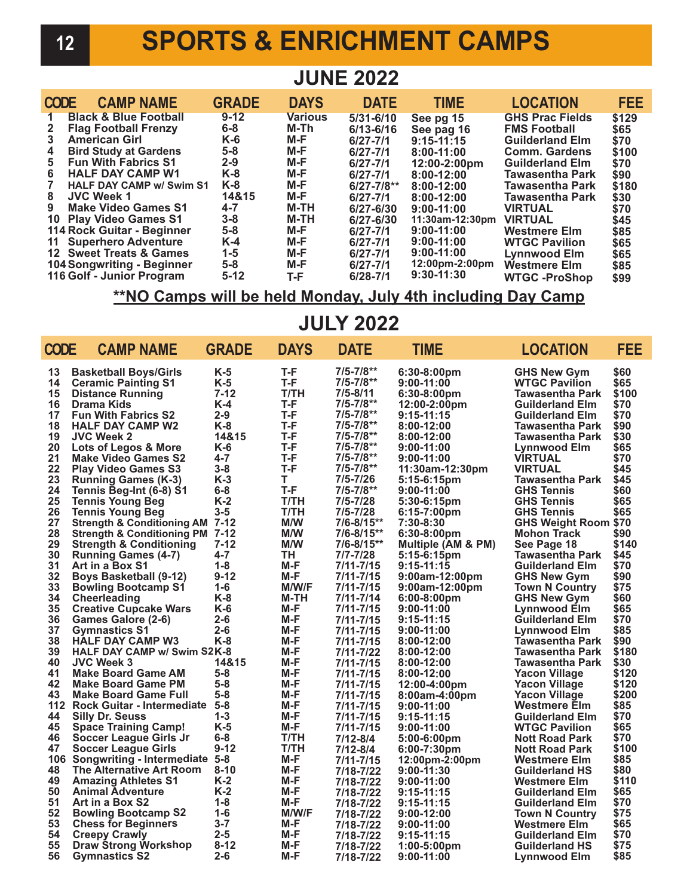## **JUNE 2022 CODE CAMP NAME GRADE DAYS DATE TIME LOCATION FEE 1 2 3 4 5 6 7 8 9 10 Play Video Games S1 114 Rock Guitar - Beginner 11 Superhero Adventure 12 Sweet Treats & Games 104 Songwriting - Beginner 116 Golf - Junior Program Black & Blue Football Flag Football Frenzy American Girl Bird Study at Gardens Fun With Fabrics S1 HALF DAY CAMP W1 HALF DAY CAMP w/ Swim S1 JVC Week 1 Make Video Games S1 9-12 6-8 K-6 5-8 2-9 K-8 K-8 14&15 4-7 3-8 5-8 K-4 1-5 5-8 5-12 Various M-Th M-F M-F M-F M-F M-F M-F M-TH M-TH M-F M-F M-F M-F T-F 5/31-6/10 6/13-6/16 6/27-7/1 6/27-7/1 6/27-7/1 6/27-7/1 6/27-7/8\*\* 6/27-7/1 6/27-6/30 6/27-6/30 6/27-7/1 6/27-7/1 6/27-7/1 6/27-7/1 6/28-7/1 See pg 15 See pag 16 9:15-11:15 8:00-11:00 12:00-2:00pm 8:00-12:00 8:00-12:00 8:00-12:00 9:00-11:00 11:30am-12:30pm VIRTUAL 9:00-11:00 9:00-11:00 9:00-11:00 12:00pm-2:00pm 9:30-11:30 GHS Prac Fields FMS Football Guilderland Elm Comm. Gardens Guilderland Elm Tawasentha Park Tawasentha Park Tawasentha Park VIRTUAL Westmere Elm WTGC Pavilion Lynnwood Elm Westmere Elm WTGC -ProShop \$129 \$65 \$70 \$100 \$70 \$90 \$180 \$30 \$70 \$45 \$85 \$65 \$65 \$85 \$99**

## **\*\*NO Camps will be held Monday, July 4th including Day Camp**

## **JULY 2022**

| <b>CODE</b> | <b>CAMP NAME</b>                                   | <b>GRADE</b>   | <b>DAYS</b>  | <b>DATE</b>                    | <b>TIME</b>                 | <b>LOCATION</b>                  | FEE          |
|-------------|----------------------------------------------------|----------------|--------------|--------------------------------|-----------------------------|----------------------------------|--------------|
| 13          | <b>Basketball Boys/Girls</b>                       | $K-5$          | T-F          | $7/5 - 7/8**$                  | 6:30-8:00pm                 | <b>GHS New Gym</b>               | \$60         |
| 14          | <b>Ceramic Painting S1</b>                         | K-5            | T-F          | $7/5 - 7/8**$                  | $9:00-11:00$                | <b>WTGC Pavilion</b>             | \$65         |
| 15          | <b>Distance Running</b>                            | 7-12           | T/TH         | 7/5-8/11                       | $6:30-8:00$ pm              | <b>Tawasentha Park</b>           | \$100        |
| 16          | Drama Kids                                         | K-4            | T-F          | $7/5 - 7/8**$                  | 12:00-2:00pm                | <b>Guilderland Elm</b>           | \$70         |
| 17          | <b>Fun With Fabrics S2</b>                         | $2 - 9$        | T-F          | $7/5 - 7/8**$                  | $9:15 - 11:15$              | <b>Guilderland Elm</b>           | \$70         |
| 18          | <b>HALF DAY CAMP W2</b>                            | $K-8$          | T-F          | $7/5 - 7/8**$                  | 8:00-12:00                  | Tawasentha Park                  | \$90         |
| 19          | <b>JVC Week 2</b>                                  | 14&15          | $T-F$        | $7/5 - 7/8**$                  | 8:00-12:00                  | Tawasentha Park                  | \$30         |
| 20<br>21    | Lots of Legos & More                               | $K-6$          | T-F<br>$T-F$ | $7/5 - 7/8**$<br>$7/5 - 7/8**$ | $9:00-11:00$                | <b>Lynnwood Elm</b>              | \$65         |
| 22          | <b>Make Video Games S2</b>                         | 4-7<br>$3 - 8$ | $T-F$        | $7/5 - 7/8**$                  | $9:00-11:00$                | <b>VIRTUAL</b><br><b>VIRTUAL</b> | \$70<br>\$45 |
| 23          | <b>Play Video Games S3</b>                         | $K-3$          | T            | 7/5-7/26                       | 11:30am-12:30pm             | <b>Tawasentha Park</b>           | \$45         |
| 24          | <b>Running Games (K-3)</b>                         | 6-8            | $T-F$        | $7/5 - 7/8**$                  | 5:15-6:15pm<br>$9:00-11:00$ | <b>GHS Tennis</b>                | \$60         |
| 25          | Tennis Beg-Int (6-8) S1<br><b>Tennis Young Beg</b> | $K-2$          | T/TH         | 7/5-7/28                       | 5:30-6:15pm                 | <b>GHS Tennis</b>                | \$65         |
| 26          | <b>Tennis Young Beg</b>                            | $3 - 5$        | T/TH         | 7/5-7/28                       | 6:15-7:00pm                 | <b>GHS Tennis</b>                | \$65         |
| 27          | <b>Strength &amp; Conditioning AM</b>              | $7 - 12$       | M/W          | 7/6-8/15**                     | 7:30-8:30                   | <b>GHS Weight Room \$70</b>      |              |
| 28          | <b>Strength &amp; Conditioning PM 7-12</b>         |                | M/W          | 7/6-8/15**                     | $6:30-8:00$ pm              | <b>Mohon Track</b>               | \$90         |
| 29          | <b>Strength &amp; Conditioning</b>                 | $7 - 12$       | M/W          | 7/6-8/15**                     | Multiple (AM & PM)          | See Page 18                      | \$140        |
| 30          | <b>Running Games (4-7)</b>                         | $4 - 7$        | <b>TH</b>    | $7/7 - 7/28$                   | 5:15-6:15pm                 | <b>Tawasentha Park</b>           | \$45         |
| 31          | Art in a Box S1                                    | $1 - 8$        | M-F          | $7/11 - 7/15$                  | $9:15-11:15$                | <b>Guilderland Elm</b>           | \$70         |
| 32          | <b>Boys Basketball (9-12)</b>                      | $9 - 12$       | M-F          | $7/11 - 7/15$                  | $9:00$ am-12:00pm           | <b>GHS New Gym</b>               | \$90         |
| 33          | <b>Bowling Bootcamp S1</b>                         | $1 - 6$        | M/W/F        | $7/11 - 7/15$                  | $9:00$ am-12:00pm           | <b>Town N Country</b>            | \$75         |
| 34          | <b>Cheerleading</b>                                | $K-8$          | M-TH         | 7/11-7/14                      | $6:00-8:00$ pm              | <b>GHS New Gym</b>               | \$60         |
| 35          | <b>Creative Cupcake Wars</b>                       | $K-6$          | M-F          | 7/11-7/15                      | $9:00-11:00$                | <b>Lynnwood Elm</b>              | \$65         |
| 36          | Games Galore (2-6)                                 | 2-6            | M-F          | $7/11 - 7/15$                  | $9:15-11:15$                | <b>Guilderland Elm</b>           | \$70         |
| 37          | <b>Gymnastics S1</b>                               | 2-6            | M-F          | $7/11 - 7/15$                  | $9:00-11:00$                | <b>Lynnwood Elm</b>              | \$85         |
| 38          | <b>HALF DAY CAMP W3</b>                            | $K-8$          | M-F          | $7/11 - 7/15$                  | 8:00-12:00                  | Tawasentha Park                  | \$90         |
| 39          | <b>HALF DAY CAMP w/ Swim S2K-8</b>                 |                | M-F          | 7/11-7/22                      | 8:00-12:00                  | <b>Tawasentha Park</b>           | \$180        |
| 40          | <b>JVC Week 3</b>                                  | 14&15          | M-F          | $7/11 - 7/15$                  | 8:00-12:00                  | <b>Tawasentha Park</b>           | \$30         |
| 41          | <b>Make Board Game AM</b>                          | $5 - 8$        | M-F          | 7/11-7/15                      | 8:00-12:00                  | <b>Yacon Village</b>             | \$120        |
| 42          | <b>Make Board Game PM</b>                          | $5 - 8$        | M-F          | $7/11 - 7/15$                  | 12:00-4:00pm                | <b>Yacon Village</b>             | \$120        |
| 43          | <b>Make Board Game Full</b>                        | $5 - 8$        | M-F          | 7/11-7/15                      | 8:00am-4:00pm               | <b>Yacon Village</b>             | \$200        |
|             | 112 Rock Guitar - Intermediate                     | $5 - 8$        | M-F          | $7/11 - 7/15$                  | $9:00-11:00$                | <b>Westmere Elm</b>              | \$85         |
| 44          | <b>Silly Dr. Seuss</b>                             | $1 - 3$        | M-F          | 7/11-7/15                      | $9:15-11:15$                | <b>Guilderland Elm</b>           | \$70         |
| 45          | <b>Space Training Camp!</b>                        | $K-5$          | M-F          | 7/11-7/15                      | $9:00-11:00$                | <b>WTGC Pavilion</b>             | \$65         |
| 46          | Soccer League Girls Jr                             | 6-8            | T/TH         | $7/12 - 8/4$                   | $5:00 - 6:00$ pm            | <b>Nott Road Park</b>            | \$70         |
| 47          | <b>Soccer League Girls</b>                         | $9 - 12$       | T/TH         | $7/12 - 8/4$                   | $6:00 - 7:30$ pm            | <b>Nott Road Park</b>            | \$100        |
|             | 106 Songwriting - Intermediate 5-8                 |                | M-F          | $7/11 - 7/15$                  | 12:00pm-2:00pm              | <b>Westmere Elm</b>              | \$85         |
| 48          | The Alternative Art Room                           | $8 - 10$       | M-F          | 7/18-7/22                      | $9:00-11:30$                | <b>Guilderland HS</b>            | \$80         |
| 49          | <b>Amazing Athletes S1</b>                         | $K-2$          | M-F          | 7/18-7/22                      | $9:00-11:00$                | <b>Westmere Elm</b>              | \$110        |
| 50          | <b>Animal Adventure</b>                            | $K-2$          | M-F          | 7/18-7/22                      | $9:15-11:15$                | <b>Guilderland Elm</b>           | \$65         |
| 51          | Art in a Box S2                                    | 1-8            | M-F          | 7/18-7/22                      | 9:15-11:15                  | <b>Guilderland Elm</b>           | \$70         |
| 52          | <b>Bowling Bootcamp S2</b>                         | $1 - 6$        | M/W/F        | 7/18-7/22                      | 9:00-12:00                  | <b>Town N Country</b>            | \$75         |
| 53          | <b>Chess for Beginners</b>                         | 3-7            | M-F          | 7/18-7/22                      | 9:00-11:00                  | <b>Westmere Elm</b>              | \$65         |
| 54          | <b>Creepy Crawly</b>                               | $2 - 5$        | M-F          | 7/18-7/22                      | 9:15-11:15                  | <b>Guilderland Elm</b>           | \$70         |
| 55          | <b>Draw Strong Workshop</b>                        | $8 - 12$       | M-F          | 7/18-7/22                      | $1:00 - 5:00 \text{pm}$     | Guilderland HS                   | \$75         |
| 56          | <b>Gymnastics S2</b>                               | 2-6            | M-F          | 7/18-7/22                      | 9:00-11:00                  | Lynnwood Elm                     | \$85         |